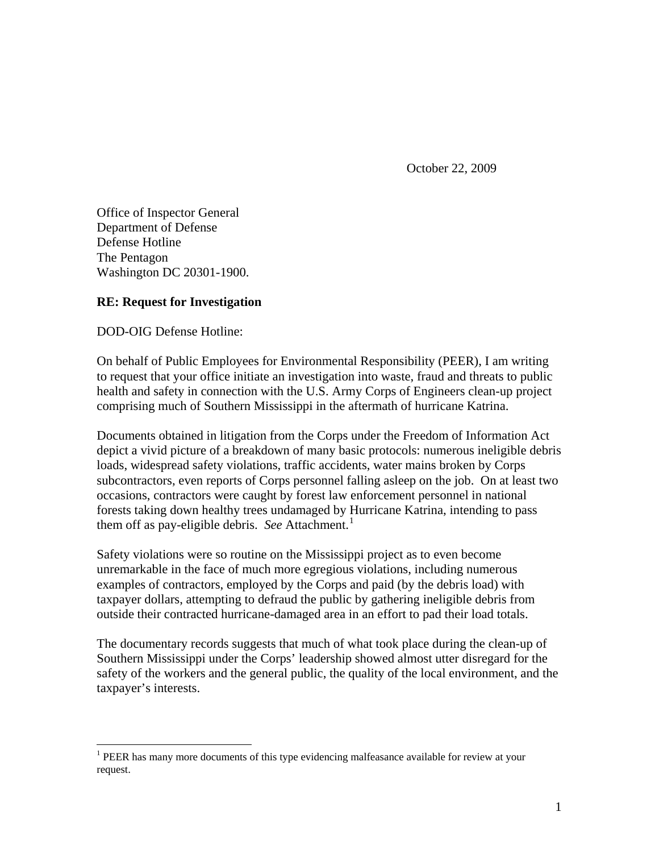October 22, 2009

Office of Inspector General Department of Defense Defense Hotline The Pentagon Washington DC 20301-1900.

## **RE: Request for Investigation**

DOD-OIG Defense Hotline:

 $\overline{a}$ 

On behalf of Public Employees for Environmental Responsibility (PEER), I am writing to request that your office initiate an investigation into waste, fraud and threats to public health and safety in connection with the U.S. Army Corps of Engineers clean-up project comprising much of Southern Mississippi in the aftermath of hurricane Katrina.

Documents obtained in litigation from the Corps under the Freedom of Information Act depict a vivid picture of a breakdown of many basic protocols: numerous ineligible debris loads, widespread safety violations, traffic accidents, water mains broken by Corps subcontractors, even reports of Corps personnel falling asleep on the job. On at least two occasions, contractors were caught by forest law enforcement personnel in national forests taking down healthy trees undamaged by Hurricane Katrina, intending to pass them off as pay-eligible debris. *See* Attachment.<sup>[1](#page-0-0)</sup>

Safety violations were so routine on the Mississippi project as to even become unremarkable in the face of much more egregious violations, including numerous examples of contractors, employed by the Corps and paid (by the debris load) with taxpayer dollars, attempting to defraud the public by gathering ineligible debris from outside their contracted hurricane-damaged area in an effort to pad their load totals.

The documentary records suggests that much of what took place during the clean-up of Southern Mississippi under the Corps' leadership showed almost utter disregard for the safety of the workers and the general public, the quality of the local environment, and the taxpayer's interests.

<span id="page-0-0"></span><sup>&</sup>lt;sup>1</sup> PEER has many more documents of this type evidencing malfeasance available for review at your request.